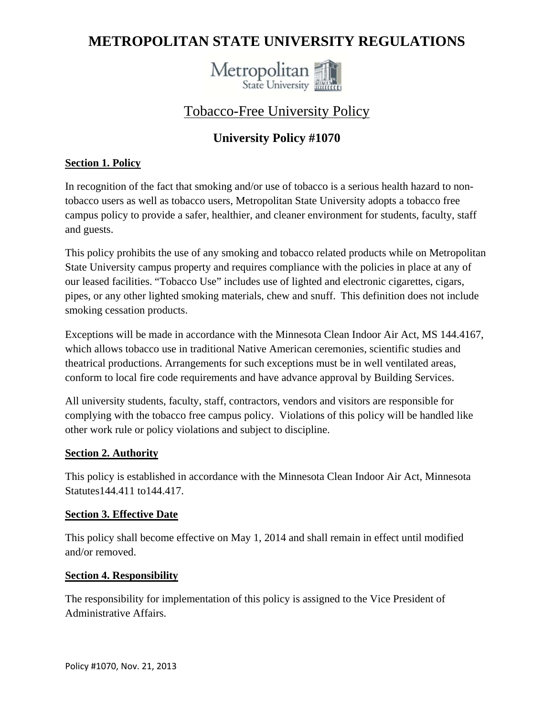# **METROPOLITAN STATE UNIVERSITY REGULATIONS**



## Tobacco-Free University Policy

## **University Policy #1070**

### **Section 1. Policy**

In recognition of the fact that smoking and/or use of tobacco is a serious health hazard to nontobacco users as well as tobacco users, Metropolitan State University adopts a tobacco free campus policy to provide a safer, healthier, and cleaner environment for students, faculty, staff and guests.

This policy prohibits the use of any smoking and tobacco related products while on Metropolitan State University campus property and requires compliance with the policies in place at any of our leased facilities. "Tobacco Use" includes use of lighted and electronic cigarettes, cigars, pipes, or any other lighted smoking materials, chew and snuff. This definition does not include smoking cessation products.

Exceptions will be made in accordance with the Minnesota Clean Indoor Air Act, MS 144.4167, which allows tobacco use in traditional Native American ceremonies, scientific studies and theatrical productions. Arrangements for such exceptions must be in well ventilated areas, conform to local fire code requirements and have advance approval by Building Services.

All university students, faculty, staff, contractors, vendors and visitors are responsible for complying with the tobacco free campus policy. Violations of this policy will be handled like other work rule or policy violations and subject to discipline.

#### **Section 2. Authority**

This policy is established in accordance with the Minnesota Clean Indoor Air Act, Minnesota Statutes144.411 to144.417.

#### **Section 3. Effective Date**

This policy shall become effective on May 1, 2014 and shall remain in effect until modified and/or removed.

#### **Section 4. Responsibility**

The responsibility for implementation of this policy is assigned to the Vice President of Administrative Affairs.